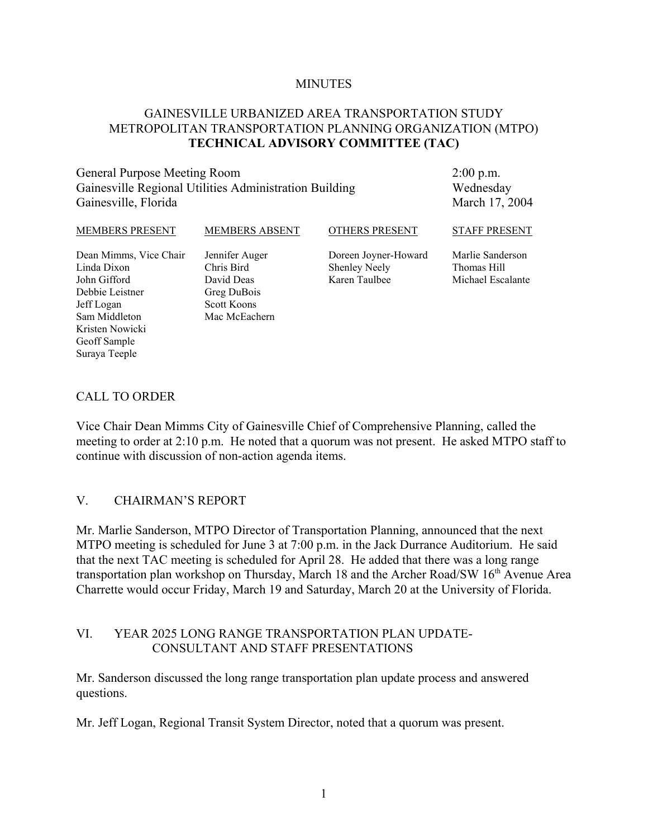#### **MINUTES**

### GAINESVILLE URBANIZED AREA TRANSPORTATION STUDY METROPOLITAN TRANSPORTATION PLANNING ORGANIZATION (MTPO) **TECHNICAL ADVISORY COMMITTEE (TAC)**

### General Purpose Meeting Room Gainesville Regional Utilities Administration Building Gainesville, Florida

2:00 p.m. Wednesday March 17, 2004

| <b>MEMBERS PRESENT</b>      | <b>MEMBERS ABSENT</b>    | <b>OTHERS PRESENT</b>                 | <b>STAFF PRESENT</b>             |
|-----------------------------|--------------------------|---------------------------------------|----------------------------------|
| Dean Mimms, Vice Chair      | Jennifer Auger           | Doreen Joyner-Howard                  | Marlie Sanderson                 |
| Linda Dixon<br>John Gifford | Chris Bird<br>David Deas | <b>Shenley Neely</b><br>Karen Taulbee | Thomas Hill<br>Michael Escalante |
| Debbie Leistner             | Greg DuBois              |                                       |                                  |
| Jeff Logan                  | <b>Scott Koons</b>       |                                       |                                  |
| Sam Middleton               | Mac McEachern            |                                       |                                  |
| Kristen Nowicki             |                          |                                       |                                  |

### CALL TO ORDER

Geoff Sample Suraya Teeple

Vice Chair Dean Mimms City of Gainesville Chief of Comprehensive Planning, called the meeting to order at 2:10 p.m. He noted that a quorum was not present. He asked MTPO staff to continue with discussion of non-action agenda items.

#### V. CHAIRMAN'S REPORT

Mr. Marlie Sanderson, MTPO Director of Transportation Planning, announced that the next MTPO meeting is scheduled for June 3 at 7:00 p.m. in the Jack Durrance Auditorium. He said that the next TAC meeting is scheduled for April 28. He added that there was a long range transportation plan workshop on Thursday, March 18 and the Archer Road/SW  $16<sup>th</sup>$  Avenue Area Charrette would occur Friday, March 19 and Saturday, March 20 at the University of Florida.

### VI. YEAR 2025 LONG RANGE TRANSPORTATION PLAN UPDATE-CONSULTANT AND STAFF PRESENTATIONS

Mr. Sanderson discussed the long range transportation plan update process and answered questions.

Mr. Jeff Logan, Regional Transit System Director, noted that a quorum was present.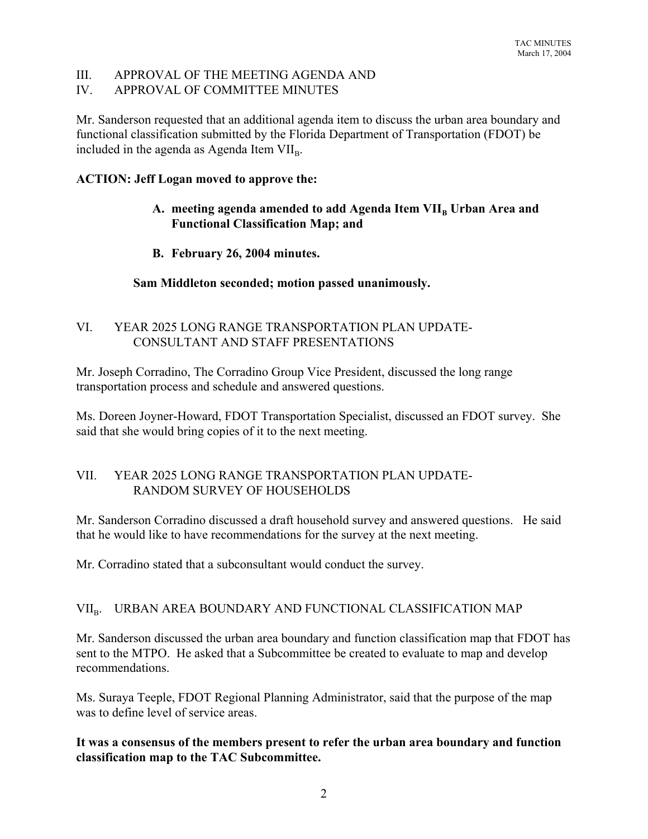## III. APPROVAL OF THE MEETING AGENDA AND

# IV. APPROVAL OF COMMITTEE MINUTES

Mr. Sanderson requested that an additional agenda item to discuss the urban area boundary and functional classification submitted by the Florida Department of Transportation (FDOT) be included in the agenda as Agenda Item  $VII<sub>B</sub>$ .

### **ACTION: Jeff Logan moved to approve the:**

## A. meeting agenda amended to add Agenda Item VII<sub>B</sub> Urban Area and **Functional Classification Map; and**

# **B. February 26, 2004 minutes.**

# **Sam Middleton seconded; motion passed unanimously.**

# VI. YEAR 2025 LONG RANGE TRANSPORTATION PLAN UPDATE-CONSULTANT AND STAFF PRESENTATIONS

Mr. Joseph Corradino, The Corradino Group Vice President, discussed the long range transportation process and schedule and answered questions.

Ms. Doreen Joyner-Howard, FDOT Transportation Specialist, discussed an FDOT survey. She said that she would bring copies of it to the next meeting.

## VII. YEAR 2025 LONG RANGE TRANSPORTATION PLAN UPDATE-RANDOM SURVEY OF HOUSEHOLDS

Mr. Sanderson Corradino discussed a draft household survey and answered questions. He said that he would like to have recommendations for the survey at the next meeting.

Mr. Corradino stated that a subconsultant would conduct the survey.

## VII<sub>B</sub>. URBAN AREA BOUNDARY AND FUNCTIONAL CLASSIFICATION MAP

Mr. Sanderson discussed the urban area boundary and function classification map that FDOT has sent to the MTPO. He asked that a Subcommittee be created to evaluate to map and develop recommendations.

Ms. Suraya Teeple, FDOT Regional Planning Administrator, said that the purpose of the map was to define level of service areas.

## **It was a consensus of the members present to refer the urban area boundary and function classification map to the TAC Subcommittee.**